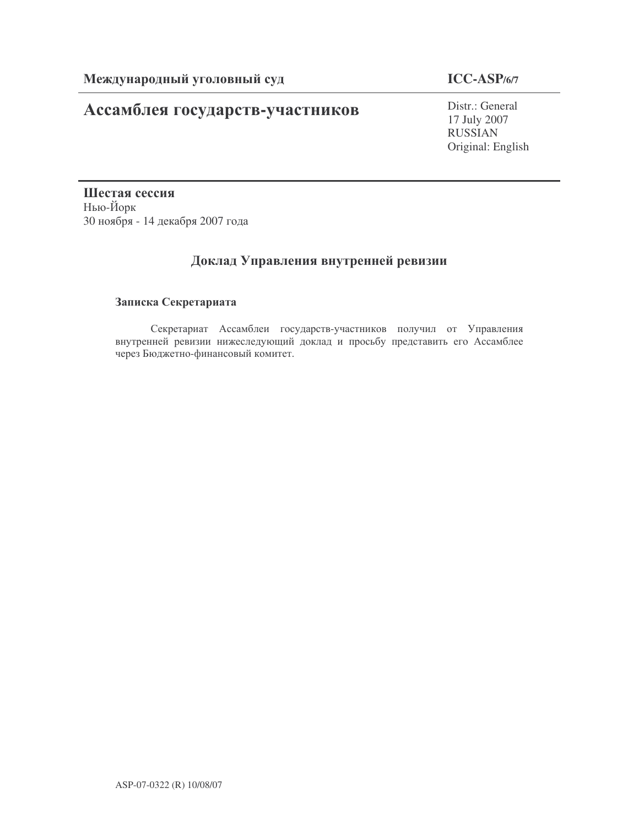# Ассамблея государств-участников

# **ICC-ASP/6/7**

Distr.: General 17 July 2007 RUSSIAN Original: English

Шестая сессия Нью-Йорк 30 ноября - 14 декабря 2007 года

# Доклад Управления внутренней ревизии

# Записка Секретариата

Секретариат Ассамблеи государств-участников получил от Управления внутренней ревизии нижеследующий доклад и просьбу представить его Ассамблее через Бюджетно-финансовый комитет.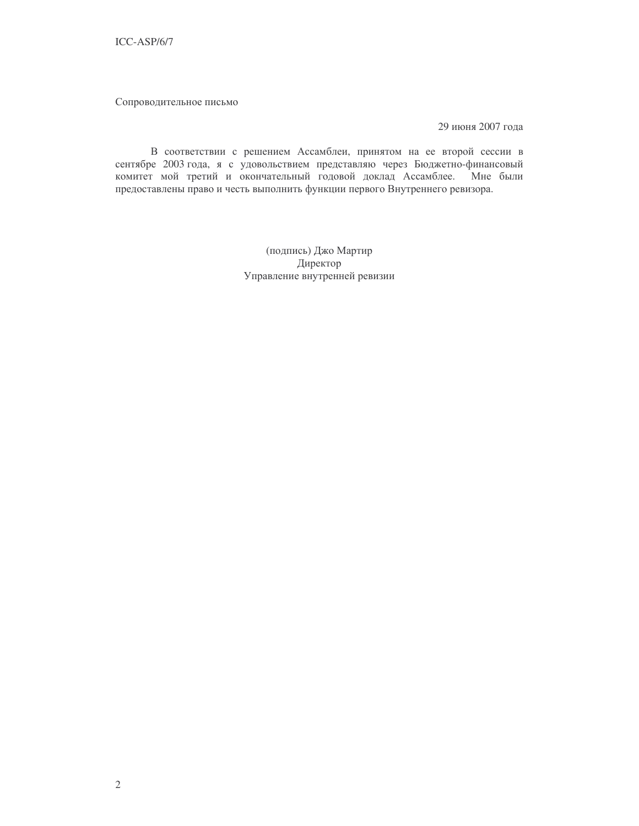Сопроводительное письмо

29 июня 2007 года

В соответствии с решением Ассамблеи, принятом на ее второй сессии в сентябре 2003 года, я с удовольствием представляю через Бюджетно-финансовый комитет мой третий и окончательный годовой доклад Ассамблее. Мне были предоставлены право и честь выполнить функции первого Внутреннего ревизора.

> (подпись) Джо Мартир Директор Управление внутренней ревизии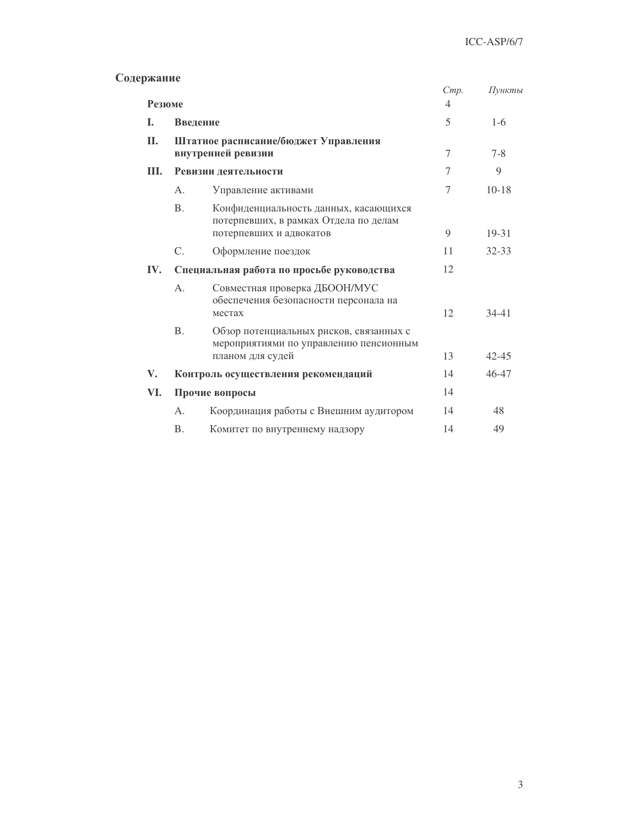## Содержание

|               |                                                            |                                                                                                       | Cmp. | Пункты    |
|---------------|------------------------------------------------------------|-------------------------------------------------------------------------------------------------------|------|-----------|
| Резюме        |                                                            |                                                                                                       | 4    |           |
| L.            | Введение                                                   |                                                                                                       | 5    | $1-6$     |
| II.           | Штатное расписание/бюджет Управления<br>внутренней ревизии |                                                                                                       | 7    | $7 - 8$   |
| Ш.            | Ревизии деятельности                                       |                                                                                                       | 7    | 9         |
|               | A.                                                         | Управление активами                                                                                   | 7    | $10 - 18$ |
|               | <b>B.</b>                                                  | Конфиденциальность данных, касающихся<br>потерпевших, в рамках Отдела по делам                        |      |           |
|               |                                                            | потерпевших и адвокатов                                                                               | 9    | $19 - 31$ |
|               | $C_{\cdot}$                                                | Оформление поездок                                                                                    | 11   | $32 - 33$ |
| IV.           | Специальная работа по просьбе руководства                  |                                                                                                       | 12   |           |
|               | $A$ .                                                      | Совместная проверка ДБООН/МУС<br>обеспечения безопасности персонала на<br>местах                      | 12   | $34 - 41$ |
|               | B <sub>1</sub>                                             | Обзор потенциальных рисков, связанных с<br>мероприятиями по управлению пенсионным<br>планом для судей | 13   | $42 - 45$ |
|               |                                                            |                                                                                                       |      |           |
| $V_{\bullet}$ | Контроль осуществления рекомендаций                        |                                                                                                       | 14   | 46-47     |
| VI.           | Прочие вопросы                                             |                                                                                                       | 14   |           |
|               | A.                                                         | Координация работы с Внешним аудитором                                                                | 14   | 48        |
|               | <b>B.</b>                                                  | Комитет по внутреннему надзору                                                                        | 14   | 49        |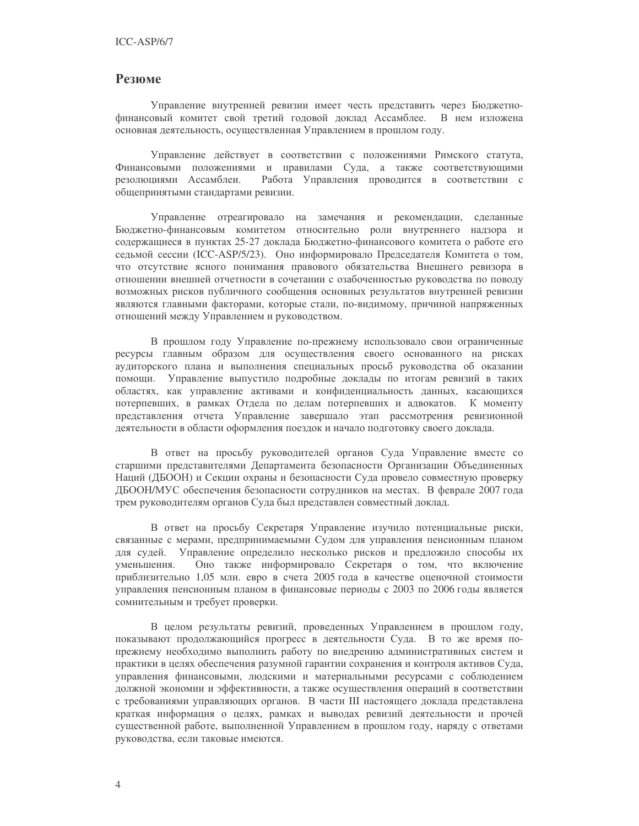# **Резюме**

Управление внутренней ревизии имеет честь представить через Бюджетнофинансовый комитет свой третий годовой доклад Ассамблее. В нем изложена основная деятельность, осуществленная Управлением в прошлом году.

Управление действует в соответствии с положениями Римского статута, Финансовыми положениями и правилами Суда, а также соответствующими резолюциями Ассамблеи. Работа Управления проводится в соответствии с общепринятыми стандартами ревизии.

Управление отреагировало на замечания и рекомендации, сделанные Бюджетно-финансовым комитетом относительно роли внутреннего надзора и содержащиеся в пунктах 25-27 доклада Бюджетно-финансового комитета о работе его седьмой сессии (ICC-ASP/5/23). Оно информировало Председателя Комитета о том, что отсутствие ясного понимания правового обязательства Внешнего ревизора в отношении внешней отчетности в сочетании с озабоченностью руководства по поводу возможных рисков публичного сообщения основных результатов внутренней ревизии являются главными факторами, которые стали, по-видимому, причиной напряженных отношений между Управлением и руководством.

В прошлом году Управление по-прежнему использовало свои ограниченные ресурсы главным образом для осуществления своего основанного на рисках аудиторского плана и выполнения специальных просьб руководства об оказании помощи. Управление выпустило подробные доклады по итогам ревизий в таких областях, как управление активами и конфиденциальность данных, касающихся потерпевших, в рамках Отдела по делам потерпевших и адвокатов. К моменту представления отчета Управление завершало этап рассмотрения ревизионной деятельности в области оформления поездок и начало подготовку своего доклада.

В ответ на просьбу руководителей органов Суда Управление вместе со старшими представителями Департамента безопасности Организации Объединенных Наций (ДБООН) и Секции охраны и безопасности Суда провело совместную проверку ДБООН/МУС обеспечения безопасности сотрудников на местах. В феврале 2007 года трем руководителям органов Суда был представлен совместный доклад.

В ответ на просьбу Секретаря Управление изучило потенциальные риски, связанные с мерами, предпринимаемыми Судом для управления пенсионным планом для судей. Управление определило несколько рисков и предложило способы их Оно также информировало Секретаря о том, что включение уменьшения. приблизительно 1,05 млн. евро в счета 2005 года в качестве оценочной стоимости управления пенсионным планом в финансовые периоды с 2003 по 2006 годы является сомнительным и требует проверки.

В целом результаты ревизий, проведенных Управлением в прошлом году, показывают продолжающийся прогресс в деятельности Суда. В то же время попрежнему необходимо выполнить работу по внедрению административных систем и практики в целях обеспечения разумной гарантии сохранения и контроля активов Суда, управления финансовыми, людскими и материальными ресурсами с соблюдением должной экономии и эффективности, а также осуществления операций в соответствии с требованиями управляющих органов. В части III настоящего доклада представлена краткая информация о целях, рамках и выводах ревизий деятельности и прочей существенной работе, выполненной Управлением в прошлом году, наряду с ответами руководства, если таковые имеются.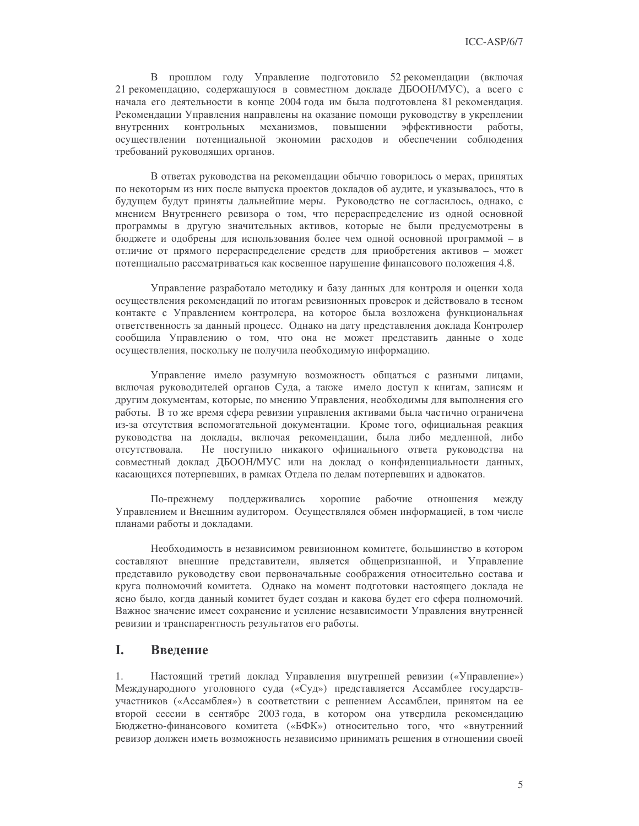В прошлом году Управление подготовило 52 рекомендации (включая 21 рекомендацию, содержащуюся в совместном докладе ДБООН/МУС), а всего с начала его деятельности в конце 2004 года им была подготовлена 81 рекомендация. Рекомендации Управления направлены на оказание помощи руководству в укреплении контрольных механизмов, повышении эффективности внутренних работы. осуществлении потенциальной экономии расходов и обеспечении соблюдения требований руководящих органов.

В ответах руководства на рекомендации обычно говорилось о мерах, принятых по некоторым из них после выпуска проектов докладов об аудите, и указывалось, что в будущем будут приняты дальнейшие меры. Руководство не согласилось, однако, с мнением Внутреннего ревизора о том, что перераспределение из одной основной программы в другую значительных активов, которые не были предусмотрены в бюджете и одобрены для использования более чем одной основной программой - в отличие от прямого перераспределение средств для приобретения активов - может потенциально рассматриваться как косвенное нарушение финансового положения 4.8.

Управление разработало методику и базу данных для контроля и оценки хода осуществления рекомендаций по итогам ревизионных проверок и действовало в тесном контакте с Управлением контролера, на которое была возложена функциональная ответственность за данный процесс. Однако на дату представления доклада Контролер сообщила Управлению о том, что она не может представить данные о ходе осуществления, поскольку не получила необходимую информацию.

Управление имело разумную возможность общаться с разными лицами, включая руководителей органов Суда, а также имело доступ к книгам, записям и другим документам, которые, по мнению Управления, необходимы для выполнения его работы. В то же время сфера ревизии управления активами была частично ограничена из-за отсутствия вспомогательной документации. Кроме того, официальная реакция руководства на доклады, включая рекомендации, была либо медленной, либо отсутствовала. Не поступило никакого официального ответа руководства на совместный доклад ДБООН/МУС или на доклад о конфиденциальности данных, касающихся потерпевших, в рамках Отдела по делам потерпевших и адвокатов.

По-прежнему поддерживались хорошие рабочие отношения между Управлением и Внешним аудитором. Осуществлялся обмен информацией, в том числе планами работы и докладами.

Необходимость в независимом ревизионном комитете, большинство в котором составляют внешние представители, является общепризнанной, и Управление представило руководству свои первоначальные соображения относительно состава и круга полномочий комитета. Однако на момент подготовки настоящего доклада не ясно было, когда данный комитет будет создан и какова будет его сфера полномочий. Важное значение имеет сохранение и усиление независимости Управления внутренней ревизии и транспарентность результатов его работы.

#### L. Введение

1. Настоящий третий доклад Управления внутренней ревизии («Управление») Международного уголовного суда («Суд») представляется Ассамблее государствучастников («Ассамблея») в соответствии с решением Ассамблеи, принятом на ее второй сессии в сентябре 2003 года, в котором она утвердила рекомендацию Бюджетно-финансового комитета («БФК») относительно того, что «внутренний ревизор должен иметь возможность независимо принимать решения в отношении своей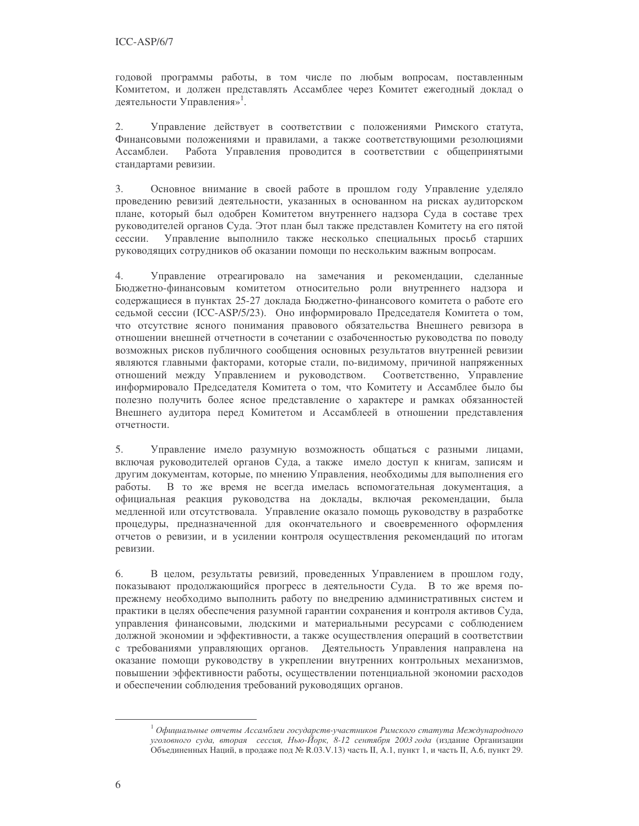годовой программы работы, в том числе по любым вопросам, поставленным Комитетом, и должен представлять Ассамблее через Комитет ежегодный доклад о деятельности Управления»<sup>1</sup>.

Управление действует в соответствии с положениями Римского статута, 2. Финансовыми положениями и правилами, а также соответствующими резолюциями Ассамблеи. Работа Управления проводится в соответствии с общепринятыми стандартами ревизии.

 $3.$ Основное внимание в своей работе в прошлом году Управление уделяло проведению ревизий деятельности, указанных в основанном на рисках аудиторском плане, который был одобрен Комитетом внутреннего надзора Суда в составе трех руководителей органов Суда. Этот план был также представлен Комитету на его пятой сессии. Управление выполнило также несколько специальных просьб старших руководящих сотрудников об оказании помощи по нескольким важным вопросам.

 $4.$ Управление отреагировало на замечания и рекомендации, сделанные Бюджетно-финансовым комитетом относительно роли внутреннего надзора и содержащиеся в пунктах 25-27 доклада Бюджетно-финансового комитета о работе его седьмой сессии (ICC-ASP/5/23). Оно информировало Председателя Комитета о том, что отсутствие ясного понимания правового обязательства Внешнего ревизора в отношении внешней отчетности в сочетании с озабоченностью руководства по поводу возможных рисков публичного сообщения основных результатов внутренней ревизии являются главными факторами, которые стали, по-видимому, причиной напряженных отношений между Управлением и руководством. Соответственно, Управление информировало Председателя Комитета о том, что Комитету и Ассамблее было бы полезно получить более ясное представление о характере и рамках обязанностей Внешнего аудитора перед Комитетом и Ассамблеей в отношении представления отчетности.

5. Управление имело разумную возможность общаться с разными лицами, включая руководителей органов Суда, а также имело доступ к книгам, записям и другим документам, которые, по мнению Управления, необходимы для выполнения его работы. В то же время не всегда имелась вспомогательная документация, а официальная реакция руководства на доклады, включая рекомендации, была медленной или отсутствовала. Управление оказало помощь руководству в разработке процедуры, предназначенной для окончательного и своевременного оформления отчетов о ревизии, и в усилении контроля осуществления рекомендаций по итогам ревизии.

6. В целом, результаты ревизий, проведенных Управлением в прошлом году, показывают продолжающийся прогресс в деятельности Суда. В то же время попрежнему необходимо выполнить работу по внедрению административных систем и практики в целях обеспечения разумной гарантии сохранения и контроля активов Суда, управления финансовыми, людскими и материальными ресурсами с соблюдением должной экономии и эффективности, а также осуществления операций в соответствии с требованиями управляющих органов. Деятельность Управления направлена на оказание помощи руководству в укреплении внутренних контрольных механизмов, повышении эффективности работы, осуществлении потенциальной экономии расходов и обеспечении соблюдения требований руководящих органов.

 $^{-1}$ Официальные отчеты Ассамблеи государств-участников Римского статута Международного уголовного суда, вторая сессия, Нью-Йорк, 8-12 сентября 2003 года (издание Организации Объединенных Наций, в продаже под № R.03.V.13) часть II, А.1, пункт 1, и часть II, А.6, пункт 29.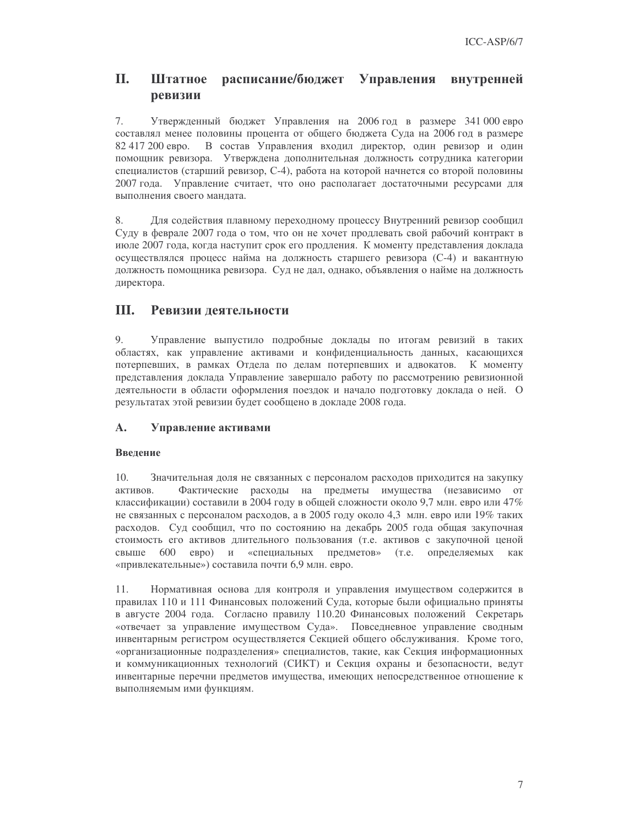#### П. Штатное расписание/бюджет Управления внутренней ревизии

 $7.$ Утвержденный бюджет Управления на 2006 год в размере 341 000 евро составлял менее половины процента от общего бюджета Суда на 2006 год в размере 82 417 200 евро. В состав Управления входил директор, один ревизор и один помощник ревизора. Утверждена дополнительная должность сотрудника категории специалистов (старший ревизор, С-4), работа на которой начнется со второй половины 2007 года. Управление считает, что оно располагает достаточными ресурсами для выполнения своего мандата.

8. Для содействия плавному переходному процессу Внутренний ревизор сообщил Суду в феврале 2007 года о том, что он не хочет продлевать свой рабочий контракт в июле 2007 года, когда наступит срок его продления. К моменту представления доклада осуществлялся процесс найма на должность старшего ревизора (С-4) и вакантную должность помощника ревизора. Суд не дал, однако, объявления о найме на должность директора.

#### III. Ревизии деятельности

9. Управление выпустило подробные доклады по итогам ревизий в таких областях, как управление активами и конфиденциальность данных, касающихся потерпевших, в рамках Отдела по делам потерпевших и адвокатов. К моменту представления доклада Управление завершало работу по рассмотрению ревизионной деятельности в области оформления поездок и начало подготовку доклада о ней. О результатах этой ревизии будет сообщено в докладе 2008 года.

#### A. Управление активами

# Введение

10. Значительная доля не связанных с персоналом расходов приходится на закупку Фактические расходы на предметы имущества (независимо от активов. классификации) составили в 2004 году в общей сложности около 9,7 млн. евро или 47% не связанных с персоналом расходов, а в 2005 году около 4,3 млн. евро или 19% таких расходов. Суд сообщил, что по состоянию на декабрь 2005 года общая закупочная стоимость его активов длительного пользования (т.е. активов с закупочной ценой свыше 600 евро) и «специальных предметов» (т.е. определяемых как «привлекательные») составила почти 6,9 млн. евро.

11. Нормативная основа для контроля и управления имуществом содержится в правилах 110 и 111 Финансовых положений Суда, которые были официально приняты в августе 2004 года. Согласно правилу 110.20 Финансовых положений Секретарь «отвечает за управление имуществом Суда». Повседневное управление сводным инвентарным регистром осуществляется Секцией общего обслуживания. Кроме того, «организационные подразделения» специалистов, такие, как Секция информационных и коммуникационных технологий (СИКТ) и Секция охраны и безопасности, ведут инвентарные перечни предметов имущества, имеющих непосредственное отношение к выполняемым ими функциям.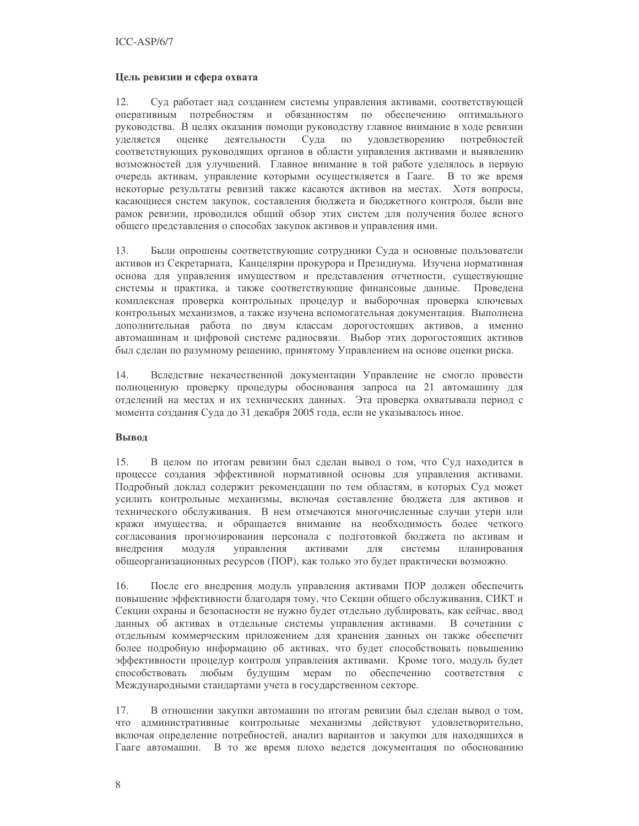### Цель ревизии и сфера охвата

Суд работает над созданием системы управления активами, соответствующей 12. оперативным потребностям и обязанностям по обеспечению оптимального руководства. В целях оказания помощи руководству главное внимание в ходе ревизии по удовлетворению уделяется оценке деятельности Суда потребностей соответствующих руководящих органов в области управления активами и выявлению возможностей для улучшений. Главное внимание в той работе уделялось в первую очередь активам, управление которыми осуществляется в Гааге. В то же время некоторые результаты ревизий также касаются активов на местах. Хотя вопросы, касающиеся систем закупок, составления бюджета и бюджетного контроля, были вне рамок ревизии, проводился общий обзор этих систем для получения более ясного общего представления о способах закупок активов и управления ими.

13. Были опрошены соответствующие сотрудники Суда и основные пользователи активов из Секретариата, Канцелярии прокурора и Президиума. Изучена нормативная основа для управления имуществом и представления отчетности, существующие системы и практика, а также соответствующие финансовые данные. Проведена комплексная проверка контрольных процедур и выборочная проверка ключевых контрольных механизмов, а также изучена вспомогательная документация. Выполнена дополнительная работа по двум классам дорогостоящих активов, а именно автомашинам и цифровой системе радиосвязи. Выбор этих дорогостоящих активов был сделан по разумному решению, принятому Управлением на основе оценки риска.

14. Вследствие некачественной документации Управление не смогло провести полноценную проверку процедуры обоснования запроса на 21 автомашину для отделений на местах и их технических данных. Эта проверка охватывала период с момента создания Суда до 31 декабря 2005 года, если не указывалось иное.

# Вывод

15. В целом по итогам ревизии был сделан вывод о том, что Суд находится в процессе создания эффективной нормативной основы для управления активами. Подробный доклад содержит рекомендации по тем областям, в которых Суд может усилить контрольные механизмы, включая составление бюджета для активов и технического обслуживания. В нем отмечаются многочисленные случаи утери или кражи имущества, и обращается внимание на необходимость более четкого согласования прогнозирования персонала с подготовкой бюджета по активам и внедрения модуля управления активами ДЛЯ системы планирования общеорганизационных ресурсов (ПОР), как только это будет практически возможно.

16. После его внедрения модуль управления активами ПОР должен обеспечить повышение эффективности благодаря тому, что Секции общего обслуживания, СИКТ и Секции охраны и безопасности не нужно будет отдельно дублировать, как сейчас, ввод данных об активах в отдельные системы управления активами. В сочетании с отдельным коммерческим приложением для хранения данных он также обеспечит более подробную информацию об активах, что будет способствовать повышению эффективности процедур контроля управления активами. Кроме того, модуль будет способствовать любым будущим мерам по обеспечению соответствия с Международными стандартами учета в государственном секторе.

17. В отношении закупки автомашин по итогам ревизии был сделан вывод о том, что административные контрольные механизмы действуют удовлетворительно, включая определение потребностей, анализ вариантов и закупки для находящихся в Гааге автомашин. В то же время плохо ведется документация по обоснованию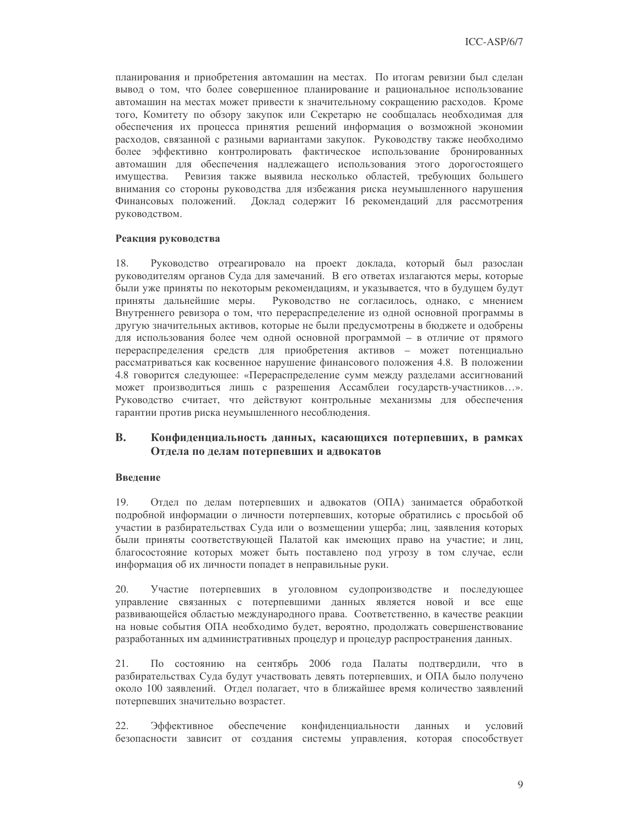планирования и приобретения автомашин на местах. По итогам ревизии был сделан вывод о том, что более совершенное планирование и рациональное использование автомашин на местах может привести к значительному сокращению расходов. Кроме того, Комитету по обзору закупок или Секретарю не сообщалась необходимая для обеспечения их процесса принятия решений информация о возможной экономии расходов, связанной с разными вариантами закупок. Руководству также необходимо более эффективно контролировать фактическое использование бронированных автомашин для обеспечения надлежащего использования этого дорогостоящего имушества. Ревизия также выявила несколько областей, требующих большего внимания со стороны руководства для избежания риска неумышленного нарушения Доклад содержит 16 рекомендаций для рассмотрения Финансовых положений. руководством.

#### Реакция руководства

Руководство отреагировало на проект доклада, который был разослан 18. руководителям органов Суда для замечаний. В его ответах излагаются меры, которые были уже приняты по некоторым рекомендациям, и указывается, что в будущем будут приняты дальнейшие меры. Руководство не согласилось, однако, с мнением Внутреннего ревизора о том, что перераспределение из одной основной программы в другую значительных активов, которые не были предусмотрены в бюджете и одобрены для использования более чем одной основной программой - в отличие от прямого перераспределения средств для приобретения активов - может потенциально рассматриваться как косвенное нарушение финансового положения 4.8. В положении 4.8 говорится следующее: «Перераспределение сумм между разделами ассигнований может производиться лишь с разрешения Ассамблеи государств-участников...». Руководство считает, что действуют контрольные механизмы для обеспечения гарантии против риска неумышленного несоблюдения.

#### **B.** Конфиденциальность данных, касающихся потерпевших, в рамках Отдела по делам потерпевших и адвокатов

### Ввеление

 $19<sub>1</sub>$ Отдел по делам потерпевших и адвокатов (ОПА) занимается обработкой подробной информации о личности потерпевших, которые обратились с просьбой об участии в разбирательствах Суда или о возмещении ущерба; лиц, заявления которых были приняты соответствующей Палатой как имеющих право на участие; и лиц, благосостояние которых может быть поставлено под угрозу в том случае, если информация об их личности попадет в неправильные руки.

20. Участие потерпевших в уголовном судопроизводстве и последующее управление связанных с потерпевшими данных является новой и все еще развивающейся областью международного права. Соответственно, в качестве реакции на новые события ОПА необходимо будет, вероятно, продолжать совершенствование разработанных им административных процедур и процедур распространения данных.

21. По состоянию на сентябрь 2006 года Палаты подтвердили, что в разбирательствах Суда будут участвовать девять потерпевших, и ОПА было получено около 100 заявлений. Отдел полагает, что в ближайшее время количество заявлений потерпевших значительно возрастет.

22. Эффективное обеспечение конфиденциальности данных  $\,$  M условий безопасности зависит от создания системы управления, которая способствует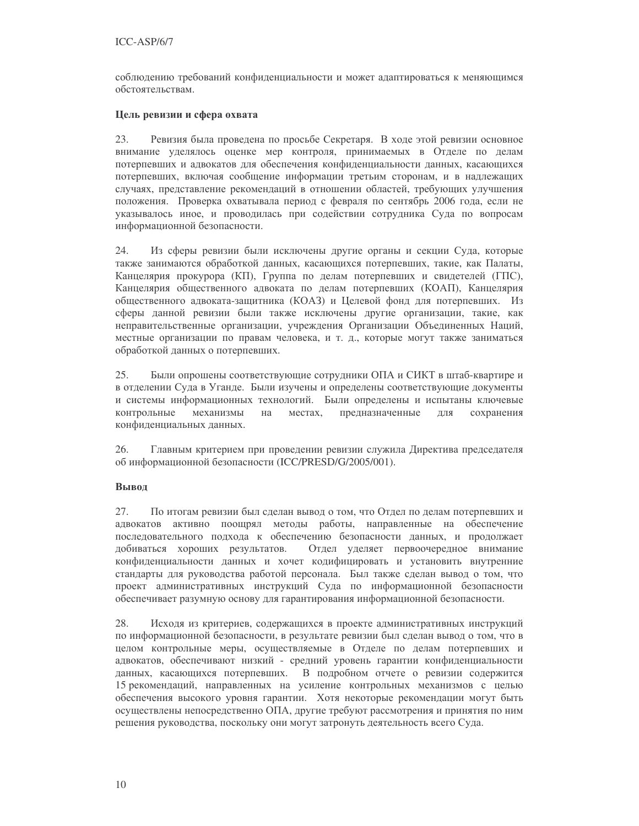соблюдению требований конфиденциальности и может адаптироваться к меняющимся обстоятельствам.

### Цель ревизии и сфера охвата

23. Ревизия была проведена по просьбе Секретаря. В ходе этой ревизии основное внимание уделялось оценке мер контроля, принимаемых в Отделе по делам потерпевших и адвокатов для обеспечения конфиденциальности данных, касающихся потерпевших, включая сообщение информации третьим сторонам, и в надлежащих случаях, представление рекомендаций в отношении областей, требующих улучшения положения. Проверка охватывала период с февраля по сентябрь 2006 года, если не указывалось иное, и проводилась при содействии сотрудника Суда по вопросам информационной безопасности.

24. Из сферы ревизии были исключены другие органы и секции Суда, которые также занимаются обработкой данных, касающихся потерпевших, такие, как Палаты, Канцелярия прокурора (КП), Группа по делам потерпевших и свидетелей (ГПС), Канцелярия общественного адвоката по делам потерпевших (КОАП), Канцелярия общественного адвоката-защитника (КОАЗ) и Целевой фонд для потерпевших. Из сферы данной ревизии были также исключены другие организации, такие, как неправительственные организации, учреждения Организации Объединенных Наций, местные организации по правам человека, и т. д., которые могут также заниматься обработкой данных о потерпевших.

25. Были опрошены соответствующие сотрудники ОПА и СИКТ в штаб-квартире и в отделении Суда в Уганде. Были изучены и определены соответствующие документы и системы информационных технологий. Были определены и испытаны ключевые контрольные механизмы на местах, предназначенные ДЛЯ сохранения конфиденциальных данных.

26. Главным критерием при проведении ревизии служила Директива председателя об информационной безопасности (ICC/PRESD/G/2005/001).

# Вывод

27. По итогам ревизии был сделан вывод о том, что Отдел по делам потерпевших и адвокатов активно поощрял методы работы, направленные на обеспечение последовательного подхода к обеспечению безопасности данных, и продолжает добиваться хороших результатов. Отдел уделяет первоочередное внимание конфиденциальности данных и хочет кодифицировать и установить внутренние стандарты для руководства работой персонала. Был также сделан вывод о том, что проект административных инструкций Суда по информационной безопасности обеспечивает разумную основу для гарантирования информационной безопасности.

28. Исходя из критериев, содержащихся в проекте административных инструкций по информационной безопасности, в результате ревизии был сделан вывод о том, что в целом контрольные меры, осуществляемые в Отделе по делам потерпевших и адвокатов, обеспечивают низкий - средний уровень гарантии конфиденциальности данных, касающихся потерпевших. В подробном отчете о ревизии содержится 15 рекомендаций, направленных на усиление контрольных механизмов с целью обеспечения высокого уровня гарантии. Хотя некоторые рекомендации могут быть осуществлены непосредственно ОПА, другие требуют рассмотрения и принятия по ним решения руководства, поскольку они могут затронуть деятельность всего Суда.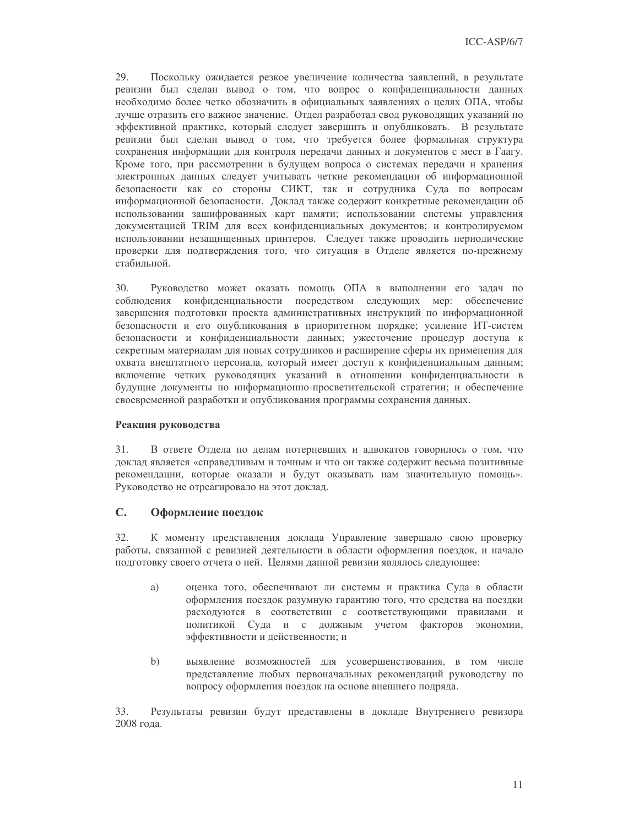29. Поскольку ожидается резкое увеличение количества заявлений, в результате ревизии был сделан вывод о том, что вопрос о конфиденциальности данных необходимо более четко обозначить в официальных заявлениях о целях ОПА, чтобы лучше отразить его важное значение. Отдел разработал свод руководящих указаний по эффективной практике, который следует завершить и опубликовать. В результате ревизии был сделан вывод о том, что требуется более формальная структура сохранения информации для контроля передачи данных и документов с мест в Гаагу. Кроме того, при рассмотрении в будущем вопроса о системах передачи и хранения электронных данных следует учитывать четкие рекомендации об информационной безопасности как со стороны СИКТ, так и сотрудника Суда по вопросам информационной безопасности. Доклад также содержит конкретные рекомендации об использовании зашифрованных карт памяти; использовании системы управления документацией TRIM для всех конфиденциальных документов; и контролируемом использовании незащищенных принтеров. Следует также проводить периодические проверки для подтверждения того, что ситуация в Отделе является по-прежнему стабильной.

30. Руководство может оказать помощь ОПА в выполнении его задач по соблюдения конфиденциальности посредством следующих мер: обеспечение завершения подготовки проекта административных инструкций по информационной безопасности и его опубликования в приоритетном порядке; усиление ИТ-систем безопасности и конфиденциальности данных; ужесточение процедур доступа к секретным материалам для новых сотрудников и расширение сферы их применения для охвата внештатного персонала, который имеет доступ к конфиденциальным данным; включение четких руководящих указаний в отношении конфиденциальности в будущие документы по информационно-просветительской стратегии; и обеспечение своевременной разработки и опубликования программы сохранения данных.

### Реакция руководства

31. В ответе Отдела по делам потерпевших и адвокатов говорилось о том, что доклад является «справедливым и точным и что он также содержит весьма позитивные рекомендации, которые оказали и будут оказывать нам значительную помощь». Руководство не отреагировало на этот доклад.

#### $\mathbf{C}$ . Оформление поездок

32. К моменту представления доклада Управление завершало свою проверку работы, связанной с ревизией деятельности в области оформления поездок, и начало подготовку своего отчета о ней. Целями данной ревизии являлось следующее:

- a) оценка того, обеспечивают ли системы и практика Суда в области оформления поездок разумную гарантию того, что средства на поездки расходуются в соответствии с соответствующими правилами и политикой Суда и с должным учетом факторов экономии, эффективности и действенности; и
- $b)$ выявление возможностей для усовершенствования, в том числе представление любых первоначальных рекомендаций руководству по вопросу оформления поездок на основе внешнего подряда.

33. Результаты ревизии будут представлены в докладе Внутреннего ревизора 2008 года.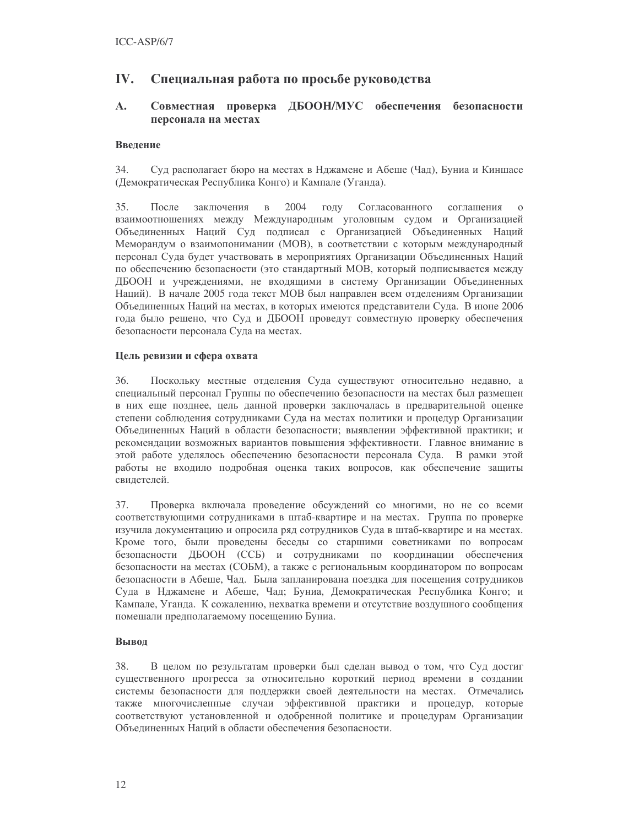#### IV. Специальная работа по просьбе руководства

#### $\mathbf{A}$ . Совместная проверка ДБООН/МУС обеспечения безопасности персонала на местах

# Ввеление

 $34$ Суд располагает бюро на местах в Нджамене и Абеше (Чад), Буниа и Киншасе (Демократическая Республика Конго) и Кампале (Уганда).

35. После заключения  $\, {\bf B}$ 2004 году Согласованного соглашения  $\Omega$ взаимоотношениях между Международным уголовным судом и Организацией Объединенных Наций Суд подписал с Организацией Объединенных Наций Меморандум о взаимопонимании (МОВ), в соответствии с которым международный персонал Суда будет участвовать в мероприятиях Организации Объединенных Наций по обеспечению безопасности (это стандартный МОВ, который подписывается между ДБООН и учреждениями, не входящими в систему Организации Объединенных Наций). В начале 2005 года текст МОВ был направлен всем отделениям Организации Объединенных Наций на местах, в которых имеются представители Суда. В июне 2006 года было решено, что Суд и ДБООН проведут совместную проверку обеспечения безопасности персонала Суда на местах.

# Цель ревизии и сфера охвата

36. Поскольку местные отделения Суда существуют относительно недавно, а специальный персонал Группы по обеспечению безопасности на местах был размещен в них еще позднее, цель данной проверки заключалась в предварительной оценке степени соблюдения сотрудниками Суда на местах политики и процедур Организации Объединенных Наций в области безопасности; выявлении эффективной практики; и рекомендации возможных вариантов повышения эффективности. Главное внимание в этой работе уделялось обеспечению безопасности персонала Суда. В рамки этой работы не входило подробная оценка таких вопросов, как обеспечение защиты свилетелей.

Проверка включала проведение обсуждений со многими, но не со всеми 37. соответствующими сотрудниками в штаб-квартире и на местах. Группа по проверке изучила документацию и опросила ряд сотрудников Суда в штаб-квартире и на местах. Кроме того, были проведены беседы со старшими советниками по вопросам безопасности ДБООН (ССБ) и сотрудниками по координации обеспечения безопасности на местах (СОБМ), а также с региональным координатором по вопросам безопасности в Абеше, Чад. Была запланирована поездка для посещения сотрудников Суда в Нджамене и Абеше, Чад; Буниа, Демократическая Республика Конго; и Кампале, Уганда. К сожалению, нехватка времени и отсутствие воздушного сообщения помешали предполагаемому посещению Буниа.

# Вывод

38. В целом по результатам проверки был сделан вывод о том, что Суд достиг существенного прогресса за относительно короткий период времени в создании системы безопасности для поддержки своей деятельности на местах. Отмечались также многочисленные случаи эффективной практики и процедур, которые соответствуют установленной и одобренной политике и процедурам Организации Объединенных Наций в области обеспечения безопасности.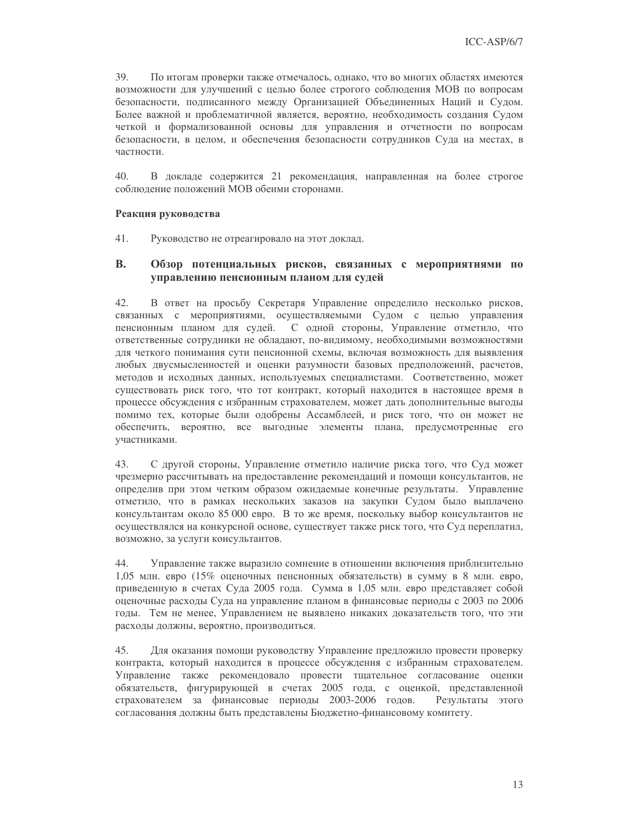39. По итогам проверки также отмечалось, однако, что во многих областях имеются возможности для улучшений с целью более строгого соблюдения МОВ по вопросам безопасности, подписанного между Организацией Объединенных Наций и Судом. Более важной и проблематичной является, вероятно, необходимость создания Судом четкой и формализованной основы для управления и отчетности по вопросам безопасности, в целом, и обеспечения безопасности сотрудников Суда на местах, в частности.

 $40.$ В докладе содержится 21 рекомендация, направленная на более строгое соблюдение положений МОВ обеими сторонами.

### Реакция руководства

41. Руководство не отреагировало на этот доклад.

#### **B.** Обзор потенциальных рисков, связанных с мероприятиями по управлению пенсионным планом для судей

42. В ответ на просьбу Секретаря Управление определило несколько рисков, связанных с мероприятиями, осуществляемыми Судом с целью управления пенсионным планом для судей. С одной стороны, Управление отметило, что ответственные сотрудники не обладают, по-видимому, необходимыми возможностями для четкого понимания сути пенсионной схемы, включая возможность для выявления любых двусмысленностей и оценки разумности базовых предположений, расчетов, методов и исходных данных, используемых специалистами. Соответственно, может существовать риск того, что тот контракт, который находится в настоящее время в процессе обсуждения с избранным страхователем, может дать дополнительные выгоды помимо тех, которые были одобрены Ассамблеей, и риск того, что он может не обеспечить, вероятно, все выгодные элементы плана, предусмотренные его участниками.

43. С другой стороны, Управление отметило наличие риска того, что Суд может чрезмерно рассчитывать на предоставление рекомендаций и помощи консультантов, не определив при этом четким образом ожидаемые конечные результаты. Управление отметило, что в рамках нескольких заказов на закупки Судом было выплачено консультантам около 85 000 евро. В то же время, поскольку выбор консультантов не осуществлялся на конкурсной основе, существует также риск того, что Суд переплатил, возможно, за услуги консультантов.

44. Управление также выразило сомнение в отношении включения приблизительно 1,05 млн. евро (15% оценочных пенсионных обязательств) в сумму в 8 млн. евро, приведенную в счетах Суда 2005 года. Сумма в 1,05 млн. евро представляет собой оценочные расходы Суда на управление планом в финансовые периоды с 2003 по 2006 годы. Тем не менее, Управлением не выявлено никаких доказательств того, что эти расходы должны, вероятно, производиться.

45. Для оказания помощи руководству Управление предложило провести проверку контракта, который находится в процессе обсуждения с избранным страхователем. Управление также рекомендовало провести тщательное согласование оценки обязательств, фигурирующей в счетах 2005 года, с оценкой, представленной страхователем за финансовые периоды 2003-2006 годов. Результаты этого согласования должны быть представлены Бюджетно-финансовому комитету.